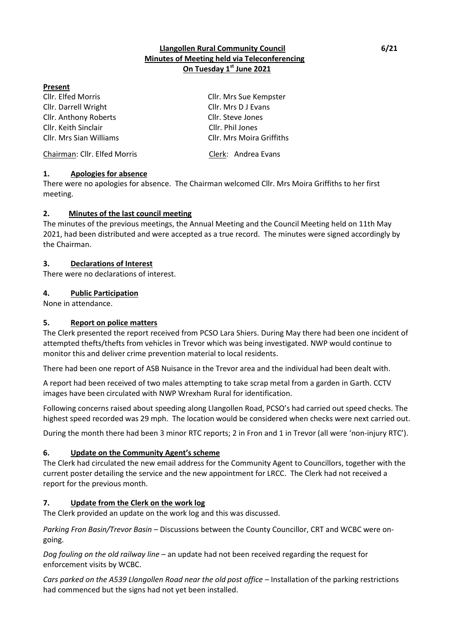## **Llangollen Rural Community Council 6/21 Minutes of Meeting held via Teleconferencing On Tuesday 1 st June 2021**

### **Present**

Cllr. Elfed Morris Cllr. Mrs Sue Kempster Cllr. Darrell Wright Cllr. Mrs D J Evans Cllr. Anthony Roberts Cllr. Steve Jones Cllr. Keith Sinclair Cllr. Phil Jones Cllr. Mrs Sian Williams Cllr. Mrs Moira Griffiths

Chairman: Cllr. Elfed Morris Clerk: Andrea Evans

**1. Apologies for absence**

There were no apologies for absence. The Chairman welcomed Cllr. Mrs Moira Griffiths to her first meeting.

### **2. Minutes of the last council meeting**

The minutes of the previous meetings, the Annual Meeting and the Council Meeting held on 11th May 2021, had been distributed and were accepted as a true record. The minutes were signed accordingly by the Chairman.

### **3. Declarations of Interest**

There were no declarations of interest.

### **4. Public Participation**

None in attendance.

### **5. Report on police matters**

The Clerk presented the report received from PCSO Lara Shiers. During May there had been one incident of attempted thefts/thefts from vehicles in Trevor which was being investigated. NWP would continue to monitor this and deliver crime prevention material to local residents.

There had been one report of ASB Nuisance in the Trevor area and the individual had been dealt with.

A report had been received of two males attempting to take scrap metal from a garden in Garth. CCTV images have been circulated with NWP Wrexham Rural for identification.

Following concerns raised about speeding along Llangollen Road, PCSO's had carried out speed checks. The highest speed recorded was 29 mph. The location would be considered when checks were next carried out.

During the month there had been 3 minor RTC reports; 2 in Fron and 1 in Trevor (all were 'non-injury RTC').

## **6. Update on the Community Agent's scheme**

The Clerk had circulated the new email address for the Community Agent to Councillors, together with the current poster detailing the service and the new appointment for LRCC. The Clerk had not received a report for the previous month.

## **7. Update from the Clerk on the work log**

The Clerk provided an update on the work log and this was discussed.

*Parking Fron Basin/Trevor Basin* – Discussions between the County Councillor, CRT and WCBC were ongoing.

*Dog fouling on the old railway line* – an update had not been received regarding the request for enforcement visits by WCBC.

*Cars parked on the A539 Llangollen Road near the old post office* – Installation of the parking restrictions had commenced but the signs had not yet been installed.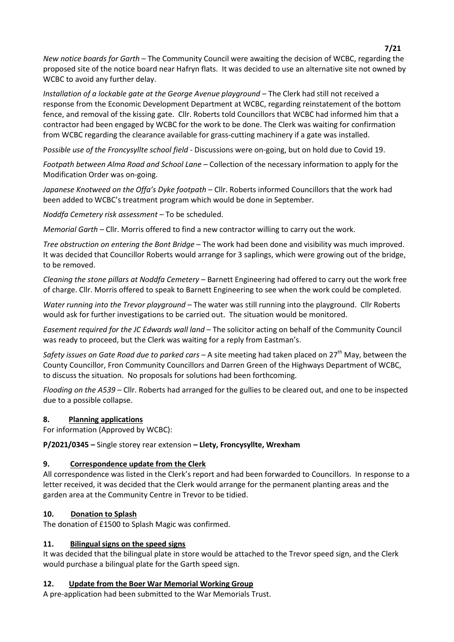**7/21** *New notice boards for Garth* – The Community Council were awaiting the decision of WCBC, regarding the proposed site of the notice board near Hafryn flats. It was decided to use an alternative site not owned by WCBC to avoid any further delay.

*Installation of a lockable gate at the George Avenue playground* – The Clerk had still not received a response from the Economic Development Department at WCBC, regarding reinstatement of the bottom fence, and removal of the kissing gate. Cllr. Roberts told Councillors that WCBC had informed him that a contractor had been engaged by WCBC for the work to be done. The Clerk was waiting for confirmation from WCBC regarding the clearance available for grass-cutting machinery if a gate was installed.

P*ossible use of the Froncysyllte school field* - Discussions were on-going, but on hold due to Covid 19.

*Footpath between Alma Road and School Lane* – Collection of the necessary information to apply for the Modification Order was on-going.

*Japanese Knotweed on the Offa's Dyke footpath* – Cllr. Roberts informed Councillors that the work had been added to WCBC's treatment program which would be done in September.

*Noddfa Cemetery risk assessment –* To be scheduled.

*Memorial Garth* – Cllr. Morris offered to find a new contractor willing to carry out the work.

*Tree obstruction on entering the Bont Bridge* – The work had been done and visibility was much improved. It was decided that Councillor Roberts would arrange for 3 saplings, which were growing out of the bridge, to be removed.

*Cleaning the stone pillars at Noddfa Cemetery* – Barnett Engineering had offered to carry out the work free of charge. Cllr. Morris offered to speak to Barnett Engineering to see when the work could be completed.

*Water running into the Trevor playground* – The water was still running into the playground. Cllr Roberts would ask for further investigations to be carried out. The situation would be monitored.

*Easement required for the JC Edwards wall land* – The solicitor acting on behalf of the Community Council was ready to proceed, but the Clerk was waiting for a reply from Eastman's.

*Safety issues on Gate Road due to parked cars* – A site meeting had taken placed on 27<sup>th</sup> May, between the County Councillor, Fron Community Councillors and Darren Green of the Highways Department of WCBC, to discuss the situation. No proposals for solutions had been forthcoming.

*Flooding on the A539* – Cllr. Roberts had arranged for the gullies to be cleared out, and one to be inspected due to a possible collapse.

## **8. Planning applications**

For information (Approved by WCBC):

**P/2021/0345 –** Single storey rear extension **– Llety, Froncysyllte, Wrexham**

# **9. Correspondence update from the Clerk**

All correspondence was listed in the Clerk's report and had been forwarded to Councillors. In response to a letter received, it was decided that the Clerk would arrange for the permanent planting areas and the garden area at the Community Centre in Trevor to be tidied.

# **10. Donation to Splash**

The donation of £1500 to Splash Magic was confirmed.

## **11. Bilingual signs on the speed signs**

It was decided that the bilingual plate in store would be attached to the Trevor speed sign, and the Clerk would purchase a bilingual plate for the Garth speed sign.

## **12. Update from the Boer War Memorial Working Group**

A pre-application had been submitted to the War Memorials Trust.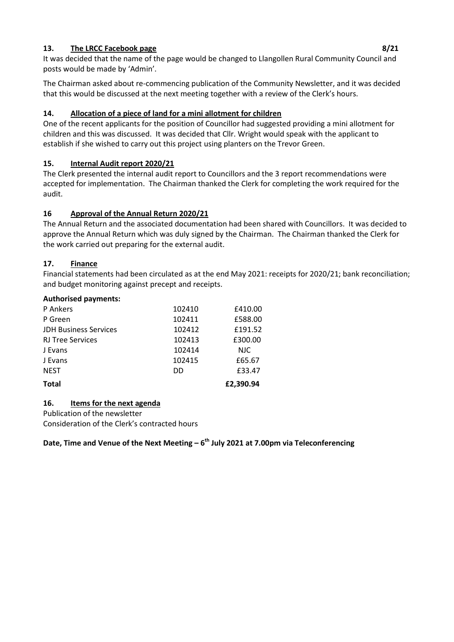## **13.** The LRCC Facebook page 8/21 **13. 13. 14. 15. 16. 16. 16. 17. 18. 18. 18. 18. 18. 18. 18. 18. 18. 18. 18. 18. 18. 18. 18. 18. 18. 18. 18. 18. 18. 18. 18. 1**

It was decided that the name of the page would be changed to Llangollen Rural Community Council and posts would be made by 'Admin'.

The Chairman asked about re-commencing publication of the Community Newsletter, and it was decided that this would be discussed at the next meeting together with a review of the Clerk's hours.

## **14. Allocation of a piece of land for a mini allotment for children**

One of the recent applicants for the position of Councillor had suggested providing a mini allotment for children and this was discussed. It was decided that Cllr. Wright would speak with the applicant to establish if she wished to carry out this project using planters on the Trevor Green.

## **15. Internal Audit report 2020/21**

The Clerk presented the internal audit report to Councillors and the 3 report recommendations were accepted for implementation. The Chairman thanked the Clerk for completing the work required for the audit.

## **16 Approval of the Annual Return 2020/21**

The Annual Return and the associated documentation had been shared with Councillors. It was decided to approve the Annual Return which was duly signed by the Chairman. The Chairman thanked the Clerk for the work carried out preparing for the external audit.

## **17. Finance**

Financial statements had been circulated as at the end May 2021: receipts for 2020/21; bank reconciliation; and budget monitoring against precept and receipts.

### **Authorised payments:**

| P Ankers                     | 102410 | £410.00   |
|------------------------------|--------|-----------|
| P Green                      | 102411 | £588.00   |
| <b>JDH Business Services</b> | 102412 | £191.52   |
| <b>RJ Tree Services</b>      | 102413 | £300.00   |
| J Evans                      | 102414 | NJC.      |
| J Evans                      | 102415 | £65.67    |
| <b>NEST</b>                  | DD     | £33.47    |
| <b>Total</b>                 |        | £2,390.94 |

## **16. Items for the next agenda**

Publication of the newsletter

Consideration of the Clerk's contracted hours

## **Date, Time and Venue of the Next Meeting – 6 th July 2021 at 7.00pm via Teleconferencing**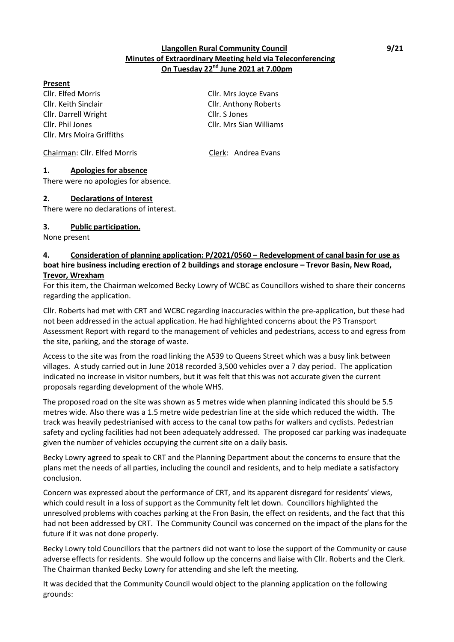### **Llangollen Rural Community Council 1991 19921 Minutes of Extraordinary Meeting held via Teleconferencing On Tuesday 22nd June 2021 at 7.00pm**

#### **Present**

Cllr. Elfed Morris Cllr. Mrs Joyce Evans Cllr. Keith Sinclair Cllr. Anthony Roberts Cllr. Darrell Wright Cllr. S Jones Cllr. Phil Jones Cllr. Mrs Sian Williams Cllr. Mrs Moira Griffiths

Chairman: Cllr. Elfed Morris Clerk: Andrea Evans

### **1. Apologies for absence**

There were no apologies for absence.

### **2. Declarations of Interest**

There were no declarations of interest.

### **3. Public participation.**

None present

### **4. Consideration of planning application: P/2021/0560 – Redevelopment of canal basin for use as boat hire business including erection of 2 buildings and storage enclosure – Trevor Basin, New Road, Trevor, Wrexham**

For this item, the Chairman welcomed Becky Lowry of WCBC as Councillors wished to share their concerns regarding the application.

Cllr. Roberts had met with CRT and WCBC regarding inaccuracies within the pre-application, but these had not been addressed in the actual application. He had highlighted concerns about the P3 Transport Assessment Report with regard to the management of vehicles and pedestrians, access to and egress from the site, parking, and the storage of waste.

Access to the site was from the road linking the A539 to Queens Street which was a busy link between villages. A study carried out in June 2018 recorded 3,500 vehicles over a 7 day period. The application indicated no increase in visitor numbers, but it was felt that this was not accurate given the current proposals regarding development of the whole WHS.

The proposed road on the site was shown as 5 metres wide when planning indicated this should be 5.5 metres wide. Also there was a 1.5 metre wide pedestrian line at the side which reduced the width. The track was heavily pedestrianised with access to the canal tow paths for walkers and cyclists. Pedestrian safety and cycling facilities had not been adequately addressed. The proposed car parking was inadequate given the number of vehicles occupying the current site on a daily basis.

Becky Lowry agreed to speak to CRT and the Planning Department about the concerns to ensure that the plans met the needs of all parties, including the council and residents, and to help mediate a satisfactory conclusion.

Concern was expressed about the performance of CRT, and its apparent disregard for residents' views, which could result in a loss of support as the Community felt let down. Councillors highlighted the unresolved problems with coaches parking at the Fron Basin, the effect on residents, and the fact that this had not been addressed by CRT. The Community Council was concerned on the impact of the plans for the future if it was not done properly.

Becky Lowry told Councillors that the partners did not want to lose the support of the Community or cause adverse effects for residents. She would follow up the concerns and liaise with Cllr. Roberts and the Clerk. The Chairman thanked Becky Lowry for attending and she left the meeting.

It was decided that the Community Council would object to the planning application on the following grounds: